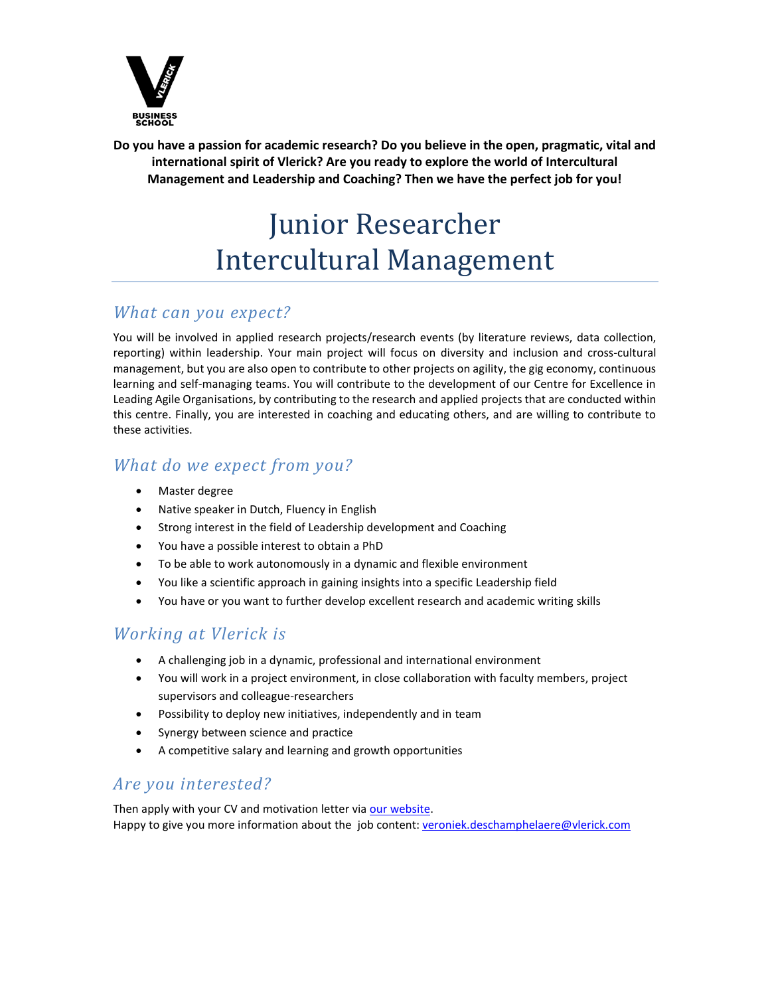

**Do you have a passion for academic research? Do you believe in the open, pragmatic, vital and international spirit of Vlerick? Are you ready to explore the world of Intercultural Management and Leadership and Coaching? Then we have the perfect job for you!**

# Junior Researcher Intercultural Management

#### *What can you expect?*

You will be involved in applied research projects/research events (by literature reviews, data collection, reporting) within leadership. Your main project will focus on diversity and inclusion and cross-cultural management, but you are also open to contribute to other projects on agility, the gig economy, continuous learning and self-managing teams. You will contribute to the development of our Centre for Excellence in Leading Agile Organisations, by contributing to the research and applied projects that are conducted within this centre. Finally, you are interested in coaching and educating others, and are willing to contribute to these activities.

### *What do we expect from you?*

- Master degree
- Native speaker in Dutch, Fluency in English
- Strong interest in the field of Leadership development and Coaching
- You have a possible interest to obtain a PhD
- To be able to work autonomously in a dynamic and flexible environment
- You like a scientific approach in gaining insights into a specific Leadership field
- You have or you want to further develop excellent research and academic writing skills

#### *Working at Vlerick is*

- A challenging job in a dynamic, professional and international environment
- You will work in a project environment, in close collaboration with faculty members, project supervisors and colleague-researchers
- Possibility to deploy new initiatives, independently and in team
- Synergy between science and practice
- A competitive salary and learning and growth opportunities

#### *Are you interested?*

Then apply with your CV and motivation letter via [our website.](https://www.vlerick.com/en/about-vlerick/working-at-vlerick/jobs/staff) Happy to give you more information about the job content: [veroniek.deschamphelaere@vlerick.com](mailto:veroniek.deschamphelaere@vlerick.com)